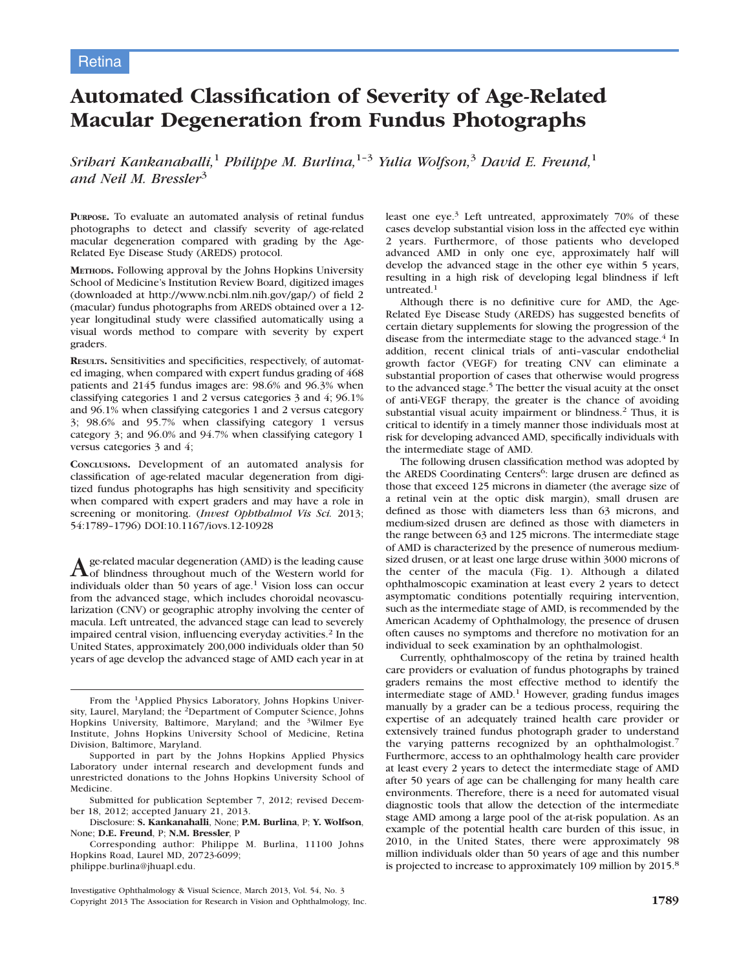# Automated Classification of Severity of Age-Related Macular Degeneration from Fundus Photographs

Srihari Kankanahalli,<sup>1</sup> Philippe M. Burlina,<sup>1-3</sup> Yulia Wolfson,<sup>3</sup> David E. Freund,<sup>1</sup> and Neil M. Bressler<sup>3</sup>

PURPOSE. To evaluate an automated analysis of retinal fundus photographs to detect and classify severity of age-related macular degeneration compared with grading by the Age-Related Eye Disease Study (AREDS) protocol.

METHODS. Following approval by the Johns Hopkins University School of Medicine's Institution Review Board, digitized images (downloaded at http://www.ncbi.nlm.nih.gov/gap/) of field 2 (macular) fundus photographs from AREDS obtained over a 12 year longitudinal study were classified automatically using a visual words method to compare with severity by expert graders.

RESULTS. Sensitivities and specificities, respectively, of automated imaging, when compared with expert fundus grading of 468 patients and 2145 fundus images are: 98.6% and 96.3% when classifying categories 1 and 2 versus categories 3 and 4; 96.1% and 96.1% when classifying categories 1 and 2 versus category 3; 98.6% and 95.7% when classifying category 1 versus category 3; and 96.0% and 94.7% when classifying category 1 versus categories 3 and 4;

CONCLUSIONS. Development of an automated analysis for classification of age-related macular degeneration from digitized fundus photographs has high sensitivity and specificity when compared with expert graders and may have a role in screening or monitoring. (Invest Ophthalmol Vis Sci. 2013; 54:1789–1796) DOI:10.1167/iovs.12-10928

Age-related macular degeneration (AMD) is the leading cause<br>of blindness throughout much of the Western world for individuals older than  $50$  years of age.<sup>1</sup> Vision loss can occur from the advanced stage, which includes choroidal neovascularization (CNV) or geographic atrophy involving the center of macula. Left untreated, the advanced stage can lead to severely impaired central vision, influencing everyday activities.<sup>2</sup> In the United States, approximately 200,000 individuals older than 50 years of age develop the advanced stage of AMD each year in at

From the 1Applied Physics Laboratory, Johns Hopkins University, Laurel, Maryland; the 2Department of Computer Science, Johns Hopkins University, Baltimore, Maryland; and the 3Wilmer Eye Institute, Johns Hopkins University School of Medicine, Retina Division, Baltimore, Maryland.

least one eye.<sup>3</sup> Left untreated, approximately 70% of these cases develop substantial vision loss in the affected eye within 2 years. Furthermore, of those patients who developed advanced AMD in only one eye, approximately half will develop the advanced stage in the other eye within 5 years, resulting in a high risk of developing legal blindness if left untreated.<sup>1</sup>

Although there is no definitive cure for AMD, the Age-Related Eye Disease Study (AREDS) has suggested benefits of certain dietary supplements for slowing the progression of the disease from the intermediate stage to the advanced stage.<sup>4</sup> In addition, recent clinical trials of anti–vascular endothelial growth factor (VEGF) for treating CNV can eliminate a substantial proportion of cases that otherwise would progress to the advanced stage.<sup>5</sup> The better the visual acuity at the onset of anti-VEGF therapy, the greater is the chance of avoiding substantial visual acuity impairment or blindness.<sup>2</sup> Thus, it is critical to identify in a timely manner those individuals most at risk for developing advanced AMD, specifically individuals with the intermediate stage of AMD.

The following drusen classification method was adopted by the AREDS Coordinating Centers<sup>6</sup>: large drusen are defined as those that exceed 125 microns in diameter (the average size of a retinal vein at the optic disk margin), small drusen are defined as those with diameters less than 63 microns, and medium-sized drusen are defined as those with diameters in the range between 63 and 125 microns. The intermediate stage of AMD is characterized by the presence of numerous mediumsized drusen, or at least one large druse within 3000 microns of the center of the macula (Fig. 1). Although a dilated ophthalmoscopic examination at least every 2 years to detect asymptomatic conditions potentially requiring intervention, such as the intermediate stage of AMD, is recommended by the American Academy of Ophthalmology, the presence of drusen often causes no symptoms and therefore no motivation for an individual to seek examination by an ophthalmologist.

Currently, ophthalmoscopy of the retina by trained health care providers or evaluation of fundus photographs by trained graders remains the most effective method to identify the intermediate stage of  $AMD<sup>1</sup>$  However, grading fundus images manually by a grader can be a tedious process, requiring the expertise of an adequately trained health care provider or extensively trained fundus photograph grader to understand the varying patterns recognized by an ophthalmologist.<sup>7</sup> Furthermore, access to an ophthalmology health care provider at least every 2 years to detect the intermediate stage of AMD after 50 years of age can be challenging for many health care environments. Therefore, there is a need for automated visual diagnostic tools that allow the detection of the intermediate stage AMD among a large pool of the at-risk population. As an example of the potential health care burden of this issue, in 2010, in the United States, there were approximately 98 million individuals older than 50 years of age and this number is projected to increase to approximately 109 million by 2015.<sup>8</sup>

Supported in part by the Johns Hopkins Applied Physics Laboratory under internal research and development funds and unrestricted donations to the Johns Hopkins University School of Medicine.

Submitted for publication September 7, 2012; revised December 18, 2012; accepted January 21, 2013.

Disclosure: S. Kankanahalli, None; P.M. Burlina, P; Y. Wolfson, None; D.E. Freund, P; N.M. Bressler, P

Corresponding author: Philippe M. Burlina, 11100 Johns Hopkins Road, Laurel MD, 20723-6099; philippe.burlina@jhuapl.edu.

Investigative Ophthalmology & Visual Science, March 2013, Vol. 54, No. 3 Copyright 2013 The Association for Research in Vision and Ophthalmology, Inc. 1789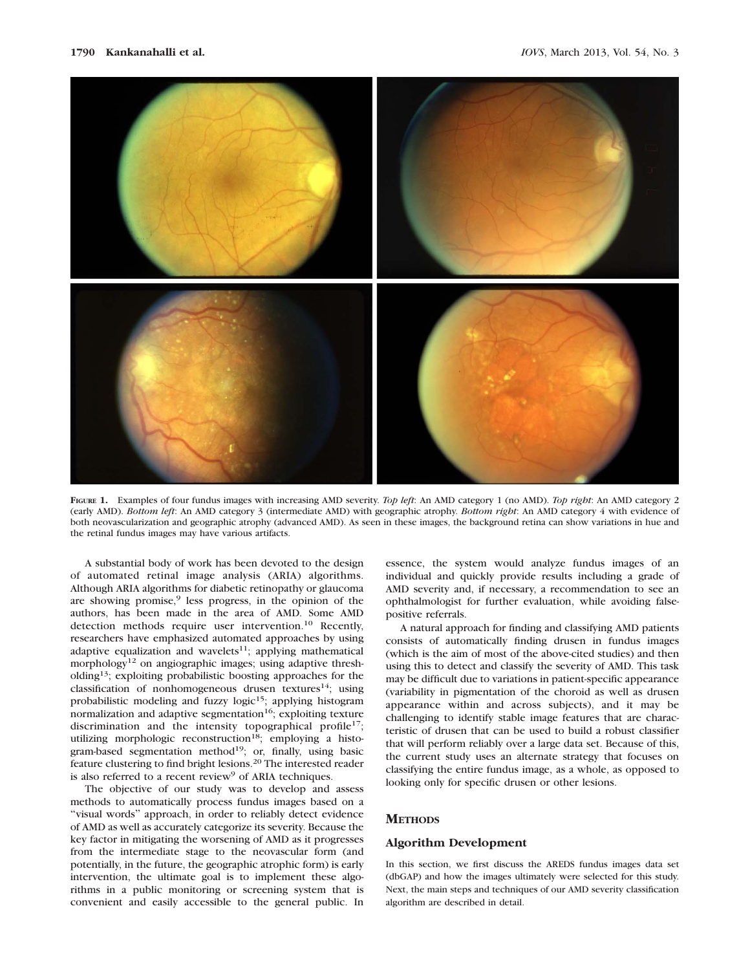

FIGURE 1. Examples of four fundus images with increasing AMD severity. Top left: An AMD category 1 (no AMD). Top right: An AMD category 2 (early AMD). Bottom left: An AMD category 3 (intermediate AMD) with geographic atrophy. Bottom right: An AMD category 4 with evidence of both neovascularization and geographic atrophy (advanced AMD). As seen in these images, the background retina can show variations in hue and the retinal fundus images may have various artifacts.

A substantial body of work has been devoted to the design of automated retinal image analysis (ARIA) algorithms. Although ARIA algorithms for diabetic retinopathy or glaucoma are showing promise, $9$  less progress, in the opinion of the authors, has been made in the area of AMD. Some AMD detection methods require user intervention.<sup>10</sup> Recently, researchers have emphasized automated approaches by using adaptive equalization and wavelets $11$ ; applying mathematical morphology<sup>12</sup> on angiographic images; using adaptive thresholding13; exploiting probabilistic boosting approaches for the classification of nonhomogeneous drusen textures<sup>14</sup>; using probabilistic modeling and fuzzy logic<sup>15</sup>; applying histogram normalization and adaptive segmentation<sup>16</sup>; exploiting texture discrimination and the intensity topographical profile<sup>17</sup>; utilizing morphologic reconstruction<sup>18</sup>; employing a histogram-based segmentation method<sup>19</sup>; or, finally, using basic feature clustering to find bright lesions.<sup>20</sup> The interested reader is also referred to a recent review<sup>9</sup> of ARIA techniques.

The objective of our study was to develop and assess methods to automatically process fundus images based on a ''visual words'' approach, in order to reliably detect evidence of AMD as well as accurately categorize its severity. Because the key factor in mitigating the worsening of AMD as it progresses from the intermediate stage to the neovascular form (and potentially, in the future, the geographic atrophic form) is early intervention, the ultimate goal is to implement these algorithms in a public monitoring or screening system that is convenient and easily accessible to the general public. In

essence, the system would analyze fundus images of an individual and quickly provide results including a grade of AMD severity and, if necessary, a recommendation to see an ophthalmologist for further evaluation, while avoiding falsepositive referrals.

A natural approach for finding and classifying AMD patients consists of automatically finding drusen in fundus images (which is the aim of most of the above-cited studies) and then using this to detect and classify the severity of AMD. This task may be difficult due to variations in patient-specific appearance (variability in pigmentation of the choroid as well as drusen appearance within and across subjects), and it may be challenging to identify stable image features that are characteristic of drusen that can be used to build a robust classifier that will perform reliably over a large data set. Because of this, the current study uses an alternate strategy that focuses on classifying the entire fundus image, as a whole, as opposed to looking only for specific drusen or other lesions.

# **METHODS**

### Algorithm Development

In this section, we first discuss the AREDS fundus images data set (dbGAP) and how the images ultimately were selected for this study. Next, the main steps and techniques of our AMD severity classification algorithm are described in detail.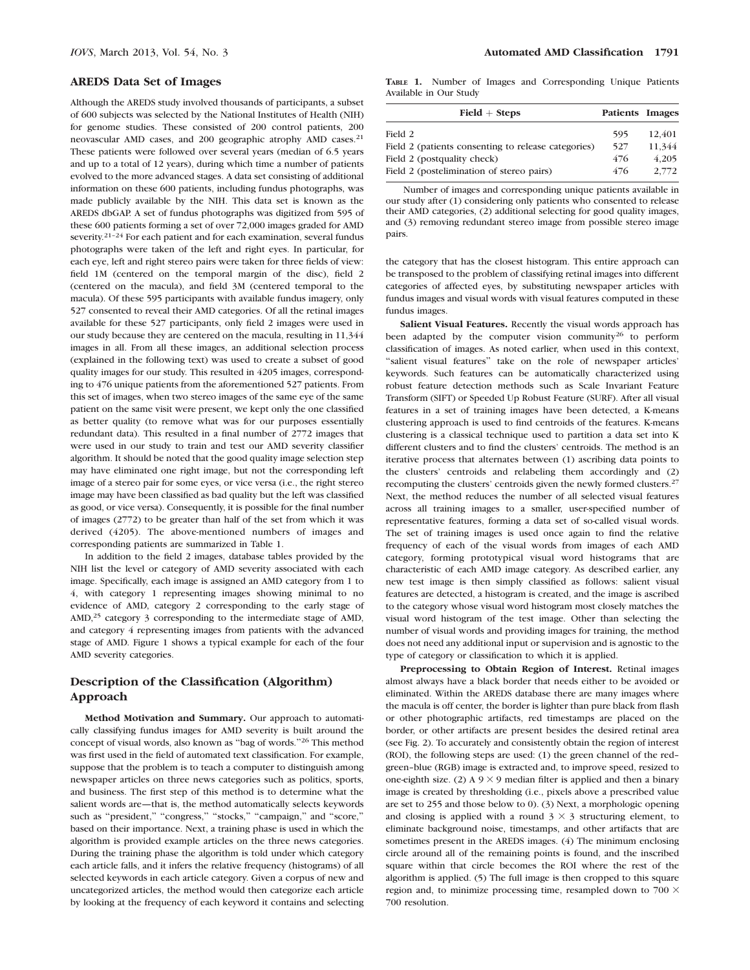#### AREDS Data Set of Images

Although the AREDS study involved thousands of participants, a subset of 600 subjects was selected by the National Institutes of Health (NIH) for genome studies. These consisted of 200 control patients, 200 neovascular AMD cases, and 200 geographic atrophy AMD cases.<sup>21</sup> These patients were followed over several years (median of 6.5 years and up to a total of 12 years), during which time a number of patients evolved to the more advanced stages. A data set consisting of additional information on these 600 patients, including fundus photographs, was made publicly available by the NIH. This data set is known as the AREDS dbGAP. A set of fundus photographs was digitized from 595 of these 600 patients forming a set of over 72,000 images graded for AMD severity.<sup>21-24</sup> For each patient and for each examination, several fundus photographs were taken of the left and right eyes. In particular, for each eye, left and right stereo pairs were taken for three fields of view: field 1M (centered on the temporal margin of the disc), field 2 (centered on the macula), and field 3M (centered temporal to the macula). Of these 595 participants with available fundus imagery, only 527 consented to reveal their AMD categories. Of all the retinal images available for these 527 participants, only field 2 images were used in our study because they are centered on the macula, resulting in 11,344 images in all. From all these images, an additional selection process (explained in the following text) was used to create a subset of good quality images for our study. This resulted in 4205 images, corresponding to 476 unique patients from the aforementioned 527 patients. From this set of images, when two stereo images of the same eye of the same patient on the same visit were present, we kept only the one classified as better quality (to remove what was for our purposes essentially redundant data). This resulted in a final number of 2772 images that were used in our study to train and test our AMD severity classifier algorithm. It should be noted that the good quality image selection step may have eliminated one right image, but not the corresponding left image of a stereo pair for some eyes, or vice versa (i.e., the right stereo image may have been classified as bad quality but the left was classified as good, or vice versa). Consequently, it is possible for the final number of images (2772) to be greater than half of the set from which it was derived (4205). The above-mentioned numbers of images and corresponding patients are summarized in Table 1.

In addition to the field 2 images, database tables provided by the NIH list the level or category of AMD severity associated with each image. Specifically, each image is assigned an AMD category from 1 to 4, with category 1 representing images showing minimal to no evidence of AMD, category 2 corresponding to the early stage of AMD,<sup>25</sup> category 3 corresponding to the intermediate stage of AMD, and category 4 representing images from patients with the advanced stage of AMD. Figure 1 shows a typical example for each of the four AMD severity categories.

# Description of the Classification (Algorithm) Approach

Method Motivation and Summary. Our approach to automatically classifying fundus images for AMD severity is built around the concept of visual words, also known as ''bag of words.''<sup>26</sup> This method was first used in the field of automated text classification. For example, suppose that the problem is to teach a computer to distinguish among newspaper articles on three news categories such as politics, sports, and business. The first step of this method is to determine what the salient words are—that is, the method automatically selects keywords such as "president," "congress," "stocks," "campaign," and "score," based on their importance. Next, a training phase is used in which the algorithm is provided example articles on the three news categories. During the training phase the algorithm is told under which category each article falls, and it infers the relative frequency (histograms) of all selected keywords in each article category. Given a corpus of new and uncategorized articles, the method would then categorize each article by looking at the frequency of each keyword it contains and selecting

TABLE 1. Number of Images and Corresponding Unique Patients Available in Our Study

| $Field + Steps$                                     | Patients Images |        |
|-----------------------------------------------------|-----------------|--------|
| Field 2                                             | 595             | 12.401 |
| Field 2 (patients consenting to release categories) | 527             | 11.344 |
| Field 2 (postquality check)                         | 476             | 4.205  |
| Field 2 (postelimination of stereo pairs)           | 476             | 2.772  |

Number of images and corresponding unique patients available in our study after (1) considering only patients who consented to release their AMD categories, (2) additional selecting for good quality images, and (3) removing redundant stereo image from possible stereo image pairs.

the category that has the closest histogram. This entire approach can be transposed to the problem of classifying retinal images into different categories of affected eyes, by substituting newspaper articles with fundus images and visual words with visual features computed in these fundus images.

Salient Visual Features. Recently the visual words approach has been adapted by the computer vision community<sup>26</sup> to perform classification of images. As noted earlier, when used in this context, "salient visual features" take on the role of newspaper articles' keywords. Such features can be automatically characterized using robust feature detection methods such as Scale Invariant Feature Transform (SIFT) or Speeded Up Robust Feature (SURF). After all visual features in a set of training images have been detected, a K-means clustering approach is used to find centroids of the features. K-means clustering is a classical technique used to partition a data set into K different clusters and to find the clusters' centroids. The method is an iterative process that alternates between (1) ascribing data points to the clusters' centroids and relabeling them accordingly and (2) recomputing the clusters' centroids given the newly formed clusters.<sup>27</sup> Next, the method reduces the number of all selected visual features across all training images to a smaller, user-specified number of representative features, forming a data set of so-called visual words. The set of training images is used once again to find the relative frequency of each of the visual words from images of each AMD category, forming prototypical visual word histograms that are characteristic of each AMD image category. As described earlier, any new test image is then simply classified as follows: salient visual features are detected, a histogram is created, and the image is ascribed to the category whose visual word histogram most closely matches the visual word histogram of the test image. Other than selecting the number of visual words and providing images for training, the method does not need any additional input or supervision and is agnostic to the type of category or classification to which it is applied.

Preprocessing to Obtain Region of Interest. Retinal images almost always have a black border that needs either to be avoided or eliminated. Within the AREDS database there are many images where the macula is off center, the border is lighter than pure black from flash or other photographic artifacts, red timestamps are placed on the border, or other artifacts are present besides the desired retinal area (see Fig. 2). To accurately and consistently obtain the region of interest (ROI), the following steps are used: (1) the green channel of the red– green–blue (RGB) image is extracted and, to improve speed, resized to one-eighth size. (2) A 9  $\times$  9 median filter is applied and then a binary image is created by thresholding (i.e., pixels above a prescribed value are set to 255 and those below to 0). (3) Next, a morphologic opening and closing is applied with a round  $3 \times 3$  structuring element, to eliminate background noise, timestamps, and other artifacts that are sometimes present in the AREDS images. (4) The minimum enclosing circle around all of the remaining points is found, and the inscribed square within that circle becomes the ROI where the rest of the algorithm is applied. (5) The full image is then cropped to this square region and, to minimize processing time, resampled down to 700  $\times$ 700 resolution.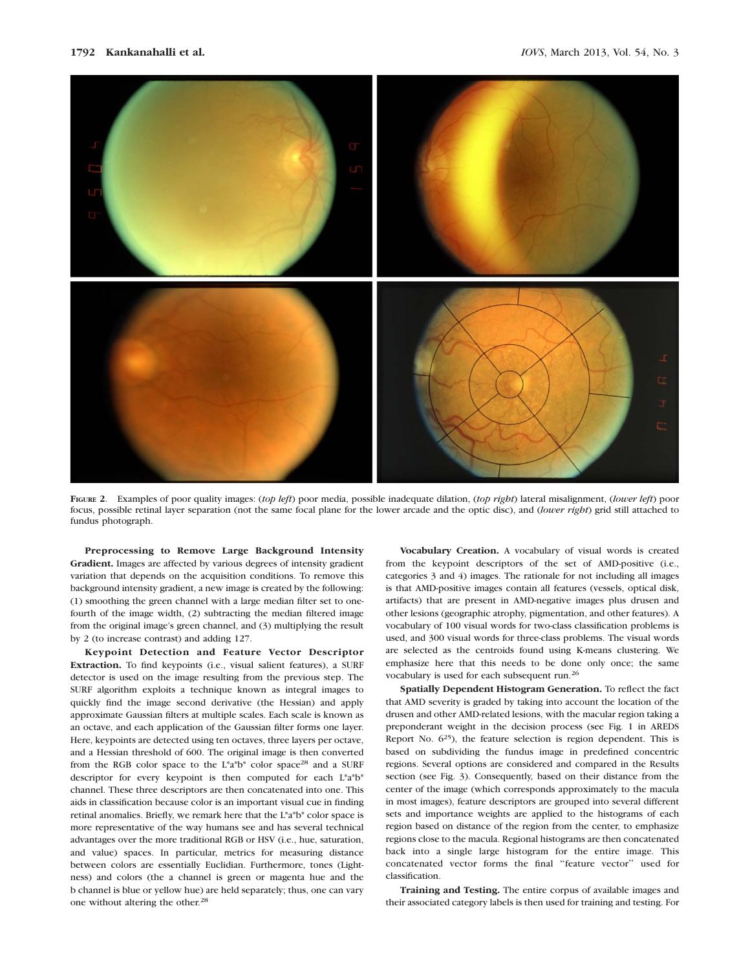

FIGURE 2. Examples of poor quality images: (top left) poor media, possible inadequate dilation, (top right) lateral misalignment, (lower left) poor focus, possible retinal layer separation (not the same focal plane for the lower arcade and the optic disc), and (lower right) grid still attached to fundus photograph.

Preprocessing to Remove Large Background Intensity Gradient. Images are affected by various degrees of intensity gradient variation that depends on the acquisition conditions. To remove this background intensity gradient, a new image is created by the following: (1) smoothing the green channel with a large median filter set to onefourth of the image width, (2) subtracting the median filtered image from the original image's green channel, and (3) multiplying the result by 2 (to increase contrast) and adding 127.

Keypoint Detection and Feature Vector Descriptor Extraction. To find keypoints (i.e., visual salient features), a SURF detector is used on the image resulting from the previous step. The SURF algorithm exploits a technique known as integral images to quickly find the image second derivative (the Hessian) and apply approximate Gaussian filters at multiple scales. Each scale is known as an octave, and each application of the Gaussian filter forms one layer. Here, keypoints are detected using ten octaves, three layers per octave, and a Hessian threshold of 600. The original image is then converted from the RGB color space to the L\*a\*b\* color space28 and a SURF descriptor for every keypoint is then computed for each L\*a\*b\* channel. These three descriptors are then concatenated into one. This aids in classification because color is an important visual cue in finding retinal anomalies. Briefly, we remark here that the L\*a\*b\* color space is more representative of the way humans see and has several technical advantages over the more traditional RGB or HSV (i.e., hue, saturation, and value) spaces. In particular, metrics for measuring distance between colors are essentially Euclidian. Furthermore, tones (Lightness) and colors (the a channel is green or magenta hue and the b channel is blue or yellow hue) are held separately; thus, one can vary one without altering the other.<sup>28</sup>

Vocabulary Creation. A vocabulary of visual words is created from the keypoint descriptors of the set of AMD-positive (i.e., categories 3 and 4) images. The rationale for not including all images is that AMD-positive images contain all features (vessels, optical disk, artifacts) that are present in AMD-negative images plus drusen and other lesions (geographic atrophy, pigmentation, and other features). A vocabulary of 100 visual words for two-class classification problems is used, and 300 visual words for three-class problems. The visual words are selected as the centroids found using K-means clustering. We emphasize here that this needs to be done only once; the same vocabulary is used for each subsequent run.26

Spatially Dependent Histogram Generation. To reflect the fact that AMD severity is graded by taking into account the location of the drusen and other AMD-related lesions, with the macular region taking a preponderant weight in the decision process (see Fig. 1 in AREDS Report No.  $6^{25}$ ), the feature selection is region dependent. This is based on subdividing the fundus image in predefined concentric regions. Several options are considered and compared in the Results section (see Fig. 3). Consequently, based on their distance from the center of the image (which corresponds approximately to the macula in most images), feature descriptors are grouped into several different sets and importance weights are applied to the histograms of each region based on distance of the region from the center, to emphasize regions close to the macula. Regional histograms are then concatenated back into a single large histogram for the entire image. This concatenated vector forms the final ''feature vector'' used for classification.

Training and Testing. The entire corpus of available images and their associated category labels is then used for training and testing. For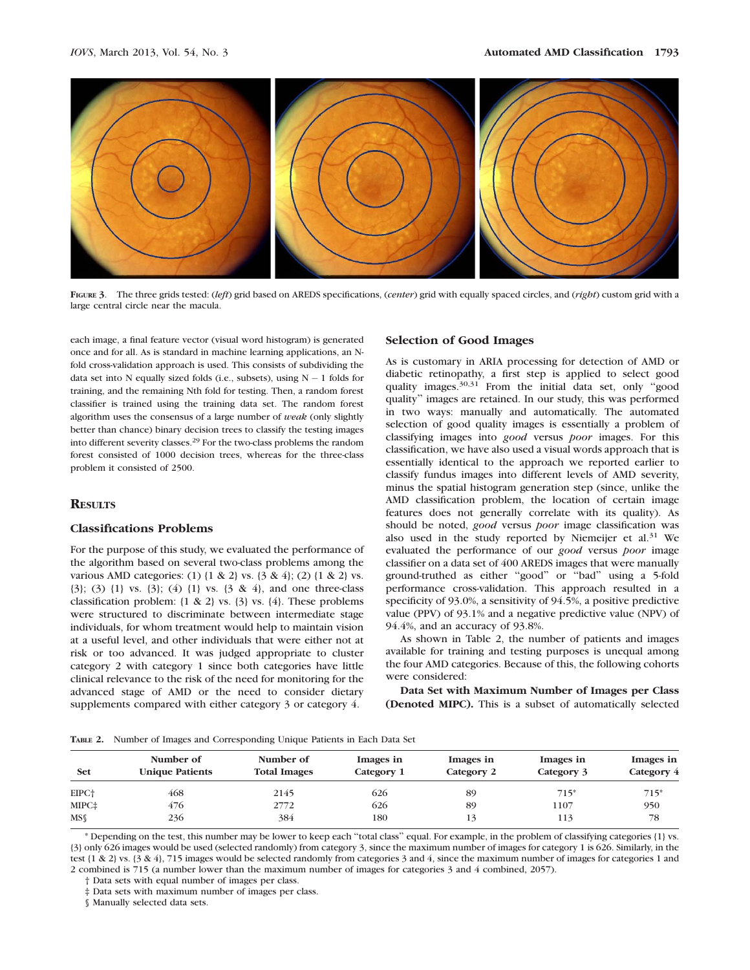

FIGURE 3. The three grids tested: (left) grid based on AREDS specifications, (center) grid with equally spaced circles, and (right) custom grid with a large central circle near the macula.

each image, a final feature vector (visual word histogram) is generated once and for all. As is standard in machine learning applications, an Nfold cross-validation approach is used. This consists of subdividing the data set into  $N$  equally sized folds (i.e., subsets), using  $N - 1$  folds for training, and the remaining Nth fold for testing. Then, a random forest classifier is trained using the training data set. The random forest algorithm uses the consensus of a large number of weak (only slightly better than chance) binary decision trees to classify the testing images into different severity classes.29 For the two-class problems the random forest consisted of 1000 decision trees, whereas for the three-class problem it consisted of 2500.

## **RESULTS**

## Classifications Problems

For the purpose of this study, we evaluated the performance of the algorithm based on several two-class problems among the various AMD categories: (1) {1 & 2} vs. {3 & 4}; (2) {1 & 2} vs. {3}; (3) {1} vs. {3}; (4) {1} vs. {3 & 4}, and one three-class classification problem:  $\{1 \& 2\}$  vs.  $\{3\}$  vs.  $\{4\}$ . These problems were structured to discriminate between intermediate stage individuals, for whom treatment would help to maintain vision at a useful level, and other individuals that were either not at risk or too advanced. It was judged appropriate to cluster category 2 with category 1 since both categories have little clinical relevance to the risk of the need for monitoring for the advanced stage of AMD or the need to consider dietary supplements compared with either category 3 or category 4.

#### Selection of Good Images

As is customary in ARIA processing for detection of AMD or diabetic retinopathy, a first step is applied to select good quality images.<sup>30,31</sup> From the initial data set, only "good quality'' images are retained. In our study, this was performed in two ways: manually and automatically. The automated selection of good quality images is essentially a problem of classifying images into good versus poor images. For this classification, we have also used a visual words approach that is essentially identical to the approach we reported earlier to classify fundus images into different levels of AMD severity, minus the spatial histogram generation step (since, unlike the AMD classification problem, the location of certain image features does not generally correlate with its quality). As should be noted, good versus poor image classification was also used in the study reported by Niemeijer et al.<sup>31</sup> We evaluated the performance of our good versus poor image classifier on a data set of 400 AREDS images that were manually ground-truthed as either ''good'' or ''bad'' using a 5-fold performance cross-validation. This approach resulted in a specificity of 93.0%, a sensitivity of 94.5%, a positive predictive value (PPV) of 93.1% and a negative predictive value (NPV) of 94.4%, and an accuracy of 93.8%.

As shown in Table 2, the number of patients and images available for training and testing purposes is unequal among the four AMD categories. Because of this, the following cohorts were considered:

Data Set with Maximum Number of Images per Class (Denoted MIPC). This is a subset of automatically selected

TABLE 2. Number of Images and Corresponding Unique Patients in Each Data Set

| Set               | Number of<br><b>Unique Patients</b> | Number of<br><b>Total Images</b> | Images in<br>Category 1 | Images in<br>Category 2 | Images in<br>Category 3 | Images in<br>Category 4 |
|-------------------|-------------------------------------|----------------------------------|-------------------------|-------------------------|-------------------------|-------------------------|
| EIPC <sup>+</sup> | 468                                 | 2145                             | 626                     | 89                      | $715*$                  | $715*$                  |
| MIPC‡             | 476                                 | 2772                             | 626                     | 89                      | 1107                    | 950                     |
| $MS\$             | 236                                 | 384                              | 180                     | 13                      | 113                     | 78                      |

\* Depending on the test, this number may be lower to keep each ''total class'' equal. For example, in the problem of classifying categories {1} vs. {3} only 626 images would be used (selected randomly) from category 3, since the maximum number of images for category 1 is 626. Similarly, in the test {1 & 2} vs. {3 & 4}, 715 images would be selected randomly from categories 3 and 4, since the maximum number of images for categories 1 and 2 combined is 715 (a number lower than the maximum number of images for categories 3 and 4 combined, 2057).

† Data sets with equal number of images per class.

‡ Data sets with maximum number of images per class.

§ Manually selected data sets.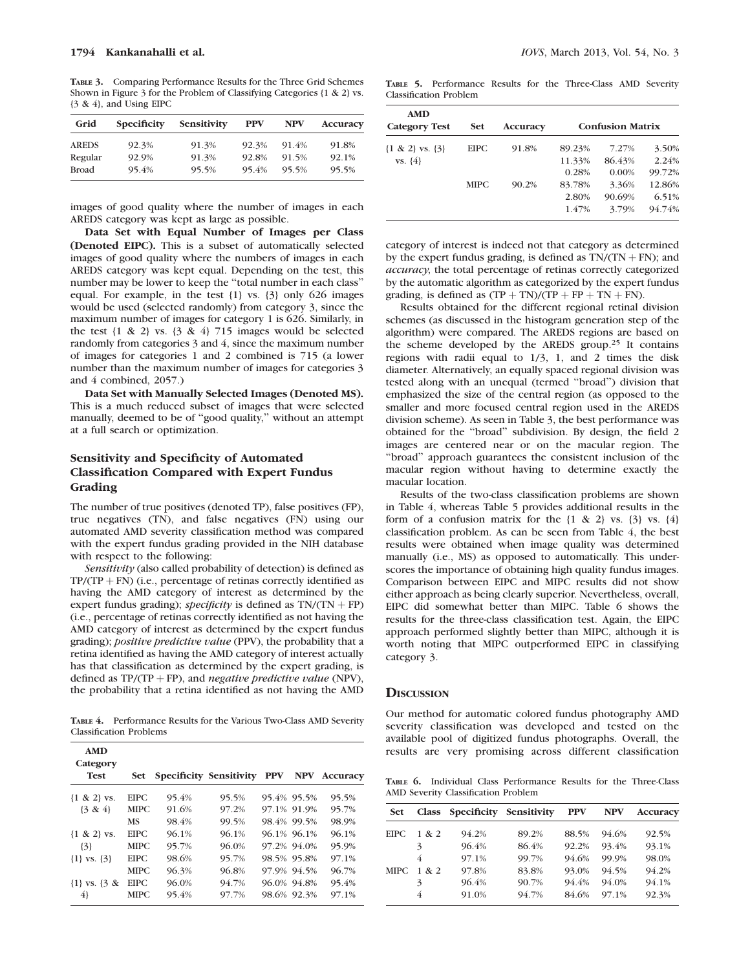TABLE 3. Comparing Performance Results for the Three Grid Schemes Shown in Figure 3 for the Problem of Classifying Categories {1 & 2} vs.  $\{3 \& 4\}$ , and Using EIPC

| Grid         | <b>Specificity</b> | Sensitivity | <b>PPV</b> | <b>NPV</b> | Accuracy |
|--------------|--------------------|-------------|------------|------------|----------|
| <b>AREDS</b> | 92.3%              | 91.3%       | 92.3%      | 91.4%      | 91.8%    |
| Regular      | 92.9%              | 91.3%       | 92.8%      | 91.5%      | 92.1%    |
| <b>Broad</b> | 95.4%              | 95.5%       | 95.4%      | 95.5%      | 95.5%    |

images of good quality where the number of images in each AREDS category was kept as large as possible.

Data Set with Equal Number of Images per Class (Denoted EIPC). This is a subset of automatically selected images of good quality where the numbers of images in each AREDS category was kept equal. Depending on the test, this number may be lower to keep the ''total number in each class'' equal. For example, in the test {1} vs. {3} only 626 images would be used (selected randomly) from category 3, since the maximum number of images for category 1 is 626. Similarly, in the test  $\{1 \& 2\}$  vs.  $\{3 \& 4\}$  715 images would be selected randomly from categories 3 and 4, since the maximum number of images for categories 1 and 2 combined is 715 (a lower number than the maximum number of images for categories 3 and 4 combined, 2057.)

Data Set with Manually Selected Images (Denoted MS). This is a much reduced subset of images that were selected manually, deemed to be of ''good quality,'' without an attempt at a full search or optimization.

# Sensitivity and Specificity of Automated Classification Compared with Expert Fundus Grading

The number of true positives (denoted TP), false positives (FP), true negatives (TN), and false negatives (FN) using our automated AMD severity classification method was compared with the expert fundus grading provided in the NIH database with respect to the following:

Sensitivity (also called probability of detection) is defined as  $TP/(TP + FN)$  (i.e., percentage of retinas correctly identified as having the AMD category of interest as determined by the expert fundus grading); specificity is defined as  $TN/(TN + FP)$ (i.e., percentage of retinas correctly identified as not having the AMD category of interest as determined by the expert fundus grading); positive predictive value (PPV), the probability that a retina identified as having the AMD category of interest actually has that classification as determined by the expert grading, is defined as  $TP/(TP + FP)$ , and *negative predictive value* (NPV), the probability that a retina identified as not having the AMD

TABLE 4. Performance Results for the Various Two-Class AMD Severity Classification Problems

| <b>AMD</b><br>Category<br><b>Test</b> |             |       | Set Specificity Sensitivity PPV |             | <b>NPV</b> Accuracy |
|---------------------------------------|-------------|-------|---------------------------------|-------------|---------------------|
| ${1 \& 2}$ vs.                        | <b>EIPC</b> | 95.4% | 95.5%                           | 95.4% 95.5% | 95.5%               |
| $\{3 & 4\}$                           | <b>MIPC</b> | 91.6% | 97.2%                           | 97.1% 91.9% | 95.7%               |
|                                       | MS          | 98.4% | 99.5%                           | 98.4% 99.5% | 98.9%               |
| ${1 \& 2}$ vs.                        | EIPC.       | 96.1% | 96.1%                           | 96.1% 96.1% | 96.1%               |
| $\{3\}$                               | <b>MIPC</b> | 95.7% | 96.0%                           | 97.2% 94.0% | 95.9%               |
| $\{1\}$ vs. $\{3\}$                   | <b>EIPC</b> | 98.6% | 95.7%                           | 98.5% 95.8% | 97.1%               |
|                                       | <b>MIPC</b> | 96.3% | 96.8%                           | 97.9% 94.5% | 96.7%               |
| $\{1\}$ vs. $\{3 \&$                  | <b>EIPC</b> | 96.0% | 94.7%                           | 96.0% 94.8% | 95.4%               |
| 4}                                    | MIPC.       | 95.4% | 97.7%                           | 98.6% 92.3% | 97.1%               |

TABLE 5. Performance Results for the Three-Class AMD Severity Classification Problem

| AMD<br><b>Category Test</b> | <b>Set</b>  | <b>Accuracy</b> | <b>Confusion Matrix</b> |          |        |
|-----------------------------|-------------|-----------------|-------------------------|----------|--------|
| $\{1 \& 2\}$ vs. $\{3\}$    | <b>EIPC</b> | 91.8%           | 89.23%                  | 7.27%    | 3.50%  |
| $VS. \{4\}$                 |             |                 | 11.33%                  | 86.43%   | 2.24%  |
|                             |             |                 | 0.28%                   | $0.00\%$ | 99.72% |
|                             | <b>MIPC</b> | 90.2%           | 83.78%                  | 3.36%    | 12.86% |
|                             |             |                 | 2.80%                   | 90.69%   | 6.51%  |
|                             |             |                 | 1.47%                   | 3.79%    | 94.74% |

category of interest is indeed not that category as determined by the expert fundus grading, is defined as  $TN/(TN + FN)$ ; and accuracy, the total percentage of retinas correctly categorized by the automatic algorithm as categorized by the expert fundus grading, is defined as  $(TP + TN)/(TP + FP + TN + FN)$ .

Results obtained for the different regional retinal division schemes (as discussed in the histogram generation step of the algorithm) were compared. The AREDS regions are based on the scheme developed by the AREDS group.<sup>25</sup> It contains regions with radii equal to 1/3, 1, and 2 times the disk diameter. Alternatively, an equally spaced regional division was tested along with an unequal (termed ''broad'') division that emphasized the size of the central region (as opposed to the smaller and more focused central region used in the AREDS division scheme). As seen in Table 3, the best performance was obtained for the ''broad'' subdivision. By design, the field 2 images are centered near or on the macular region. The ''broad'' approach guarantees the consistent inclusion of the macular region without having to determine exactly the macular location.

Results of the two-class classification problems are shown in Table 4, whereas Table 5 provides additional results in the form of a confusion matrix for the  $\{1 \& 2\}$  vs.  $\{3\}$  vs.  $\{4\}$ classification problem. As can be seen from Table 4, the best results were obtained when image quality was determined manually (i.e., MS) as opposed to automatically. This underscores the importance of obtaining high quality fundus images. Comparison between EIPC and MIPC results did not show either approach as being clearly superior. Nevertheless, overall, EIPC did somewhat better than MIPC. Table 6 shows the results for the three-class classification test. Again, the EIPC approach performed slightly better than MIPC, although it is worth noting that MIPC outperformed EIPC in classifying category 3.

## **DISCUSSION**

Our method for automatic colored fundus photography AMD severity classification was developed and tested on the available pool of digitized fundus photographs. Overall, the results are very promising across different classification

TABLE 6. Individual Class Performance Results for the Three-Class AMD Severity Classification Problem

| <b>Set</b> |       |       | Class Specificity Sensitivity | <b>PPV</b> | <b>NPV</b> | <b>Accuracy</b> |
|------------|-------|-------|-------------------------------|------------|------------|-----------------|
| EIPC.      | 1 & 2 | 94.2% | 89.2%                         | 88.5%      | 94.6%      | 92.5%           |
|            | 3     | 96.4% | 86.4%                         | 92.2%      | 93.4%      | 93.1%           |
|            | 4     | 97.1% | 99.7%                         | 94.6%      | 99.9%      | 98.0%           |
| MIPC.      | 1 & 2 | 97.8% | 83.8%                         | 93.0%      | 94.5%      | 94.2%           |
|            | 3     | 96.4% | 90.7%                         | 94.4%      | 94.0%      | 94.1%           |
|            | 4     | 91.0% | 94.7%                         | 84.6%      | 97.1%      | 92.3%           |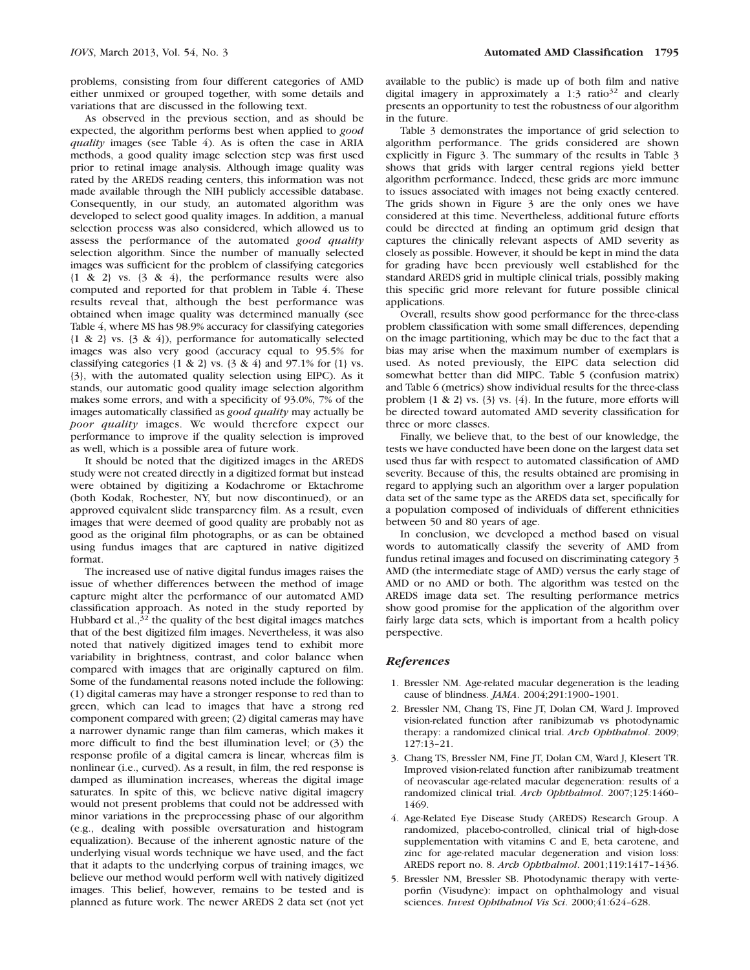problems, consisting from four different categories of AMD either unmixed or grouped together, with some details and variations that are discussed in the following text.

As observed in the previous section, and as should be expected, the algorithm performs best when applied to good quality images (see Table 4). As is often the case in ARIA methods, a good quality image selection step was first used prior to retinal image analysis. Although image quality was rated by the AREDS reading centers, this information was not made available through the NIH publicly accessible database. Consequently, in our study, an automated algorithm was developed to select good quality images. In addition, a manual selection process was also considered, which allowed us to assess the performance of the automated good quality selection algorithm. Since the number of manually selected images was sufficient for the problem of classifying categories  ${1 \& 2}$  vs.  ${3 \& 4}$ , the performance results were also computed and reported for that problem in Table 4. These results reveal that, although the best performance was obtained when image quality was determined manually (see Table 4, where MS has 98.9% accuracy for classifying categories {1 & 2} vs. {3 & 4}), performance for automatically selected images was also very good (accuracy equal to 95.5% for classifying categories {1 & 2} vs. {3 & 4} and 97.1% for {1} vs. {3}, with the automated quality selection using EIPC). As it stands, our automatic good quality image selection algorithm makes some errors, and with a specificity of 93.0%, 7% of the images automatically classified as good quality may actually be poor quality images. We would therefore expect our performance to improve if the quality selection is improved as well, which is a possible area of future work.

It should be noted that the digitized images in the AREDS study were not created directly in a digitized format but instead were obtained by digitizing a Kodachrome or Ektachrome (both Kodak, Rochester, NY, but now discontinued), or an approved equivalent slide transparency film. As a result, even images that were deemed of good quality are probably not as good as the original film photographs, or as can be obtained using fundus images that are captured in native digitized format.

The increased use of native digital fundus images raises the issue of whether differences between the method of image capture might alter the performance of our automated AMD classification approach. As noted in the study reported by Hubbard et al., $3^2$  the quality of the best digital images matches that of the best digitized film images. Nevertheless, it was also noted that natively digitized images tend to exhibit more variability in brightness, contrast, and color balance when compared with images that are originally captured on film. Some of the fundamental reasons noted include the following: (1) digital cameras may have a stronger response to red than to green, which can lead to images that have a strong red component compared with green; (2) digital cameras may have a narrower dynamic range than film cameras, which makes it more difficult to find the best illumination level; or (3) the response profile of a digital camera is linear, whereas film is nonlinear (i.e., curved). As a result, in film, the red response is damped as illumination increases, whereas the digital image saturates. In spite of this, we believe native digital imagery would not present problems that could not be addressed with minor variations in the preprocessing phase of our algorithm (e.g., dealing with possible oversaturation and histogram equalization). Because of the inherent agnostic nature of the underlying visual words technique we have used, and the fact that it adapts to the underlying corpus of training images, we believe our method would perform well with natively digitized images. This belief, however, remains to be tested and is planned as future work. The newer AREDS 2 data set (not yet

available to the public) is made up of both film and native digital imagery in approximately a  $1:3$  ratio<sup>32</sup> and clearly presents an opportunity to test the robustness of our algorithm in the future.

Table 3 demonstrates the importance of grid selection to algorithm performance. The grids considered are shown explicitly in Figure 3. The summary of the results in Table 3 shows that grids with larger central regions yield better algorithm performance. Indeed, these grids are more immune to issues associated with images not being exactly centered. The grids shown in Figure 3 are the only ones we have considered at this time. Nevertheless, additional future efforts could be directed at finding an optimum grid design that captures the clinically relevant aspects of AMD severity as closely as possible. However, it should be kept in mind the data for grading have been previously well established for the standard AREDS grid in multiple clinical trials, possibly making this specific grid more relevant for future possible clinical applications.

Overall, results show good performance for the three-class problem classification with some small differences, depending on the image partitioning, which may be due to the fact that a bias may arise when the maximum number of exemplars is used. As noted previously, the EIPC data selection did somewhat better than did MIPC. Table 5 (confusion matrix) and Table 6 (metrics) show individual results for the three-class problem {1 & 2} vs. {3} vs. {4}. In the future, more efforts will be directed toward automated AMD severity classification for three or more classes.

Finally, we believe that, to the best of our knowledge, the tests we have conducted have been done on the largest data set used thus far with respect to automated classification of AMD severity. Because of this, the results obtained are promising in regard to applying such an algorithm over a larger population data set of the same type as the AREDS data set, specifically for a population composed of individuals of different ethnicities between 50 and 80 years of age.

In conclusion, we developed a method based on visual words to automatically classify the severity of AMD from fundus retinal images and focused on discriminating category 3 AMD (the intermediate stage of AMD) versus the early stage of AMD or no AMD or both. The algorithm was tested on the AREDS image data set. The resulting performance metrics show good promise for the application of the algorithm over fairly large data sets, which is important from a health policy perspective.

#### References

- 1. Bressler NM. Age-related macular degeneration is the leading cause of blindness. JAMA. 2004;291:1900–1901.
- 2. Bressler NM, Chang TS, Fine JT, Dolan CM, Ward J. Improved vision-related function after ranibizumab vs photodynamic therapy: a randomized clinical trial. Arch Ophthalmol. 2009; 127:13–21.
- 3. Chang TS, Bressler NM, Fine JT, Dolan CM, Ward J, Klesert TR. Improved vision-related function after ranibizumab treatment of neovascular age-related macular degeneration: results of a randomized clinical trial. Arch Ophthalmol. 2007;125:1460– 1469.
- 4. Age-Related Eye Disease Study (AREDS) Research Group. A randomized, placebo-controlled, clinical trial of high-dose supplementation with vitamins C and E, beta carotene, and zinc for age-related macular degeneration and vision loss: AREDS report no. 8. Arch Ophthalmol. 2001;119:1417–1436.
- 5. Bressler NM, Bressler SB. Photodynamic therapy with verteporfin (Visudyne): impact on ophthalmology and visual sciences. Invest Ophthalmol Vis Sci. 2000;41:624-628.